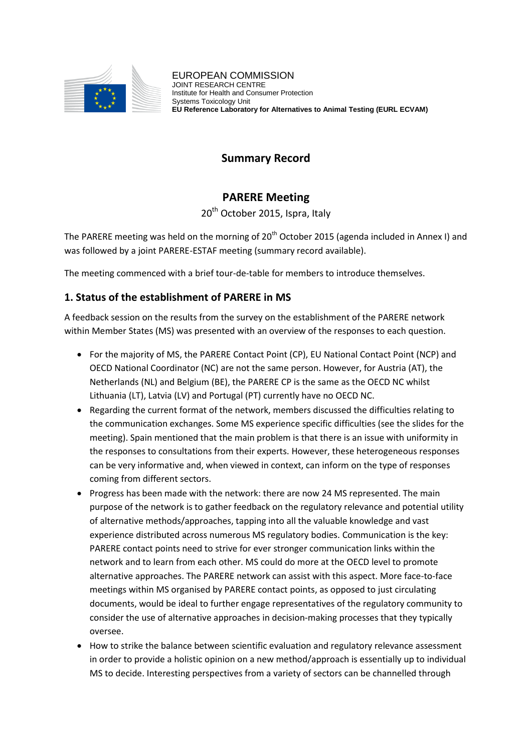

# **Summary Record**

## **PARERE Meeting**

20<sup>th</sup> October 2015, Ispra, Italy

The PARERE meeting was held on the morning of  $20<sup>th</sup>$  October 2015 (agenda included in Annex I) and was followed by a joint PARERE-ESTAF meeting (summary record available).

The meeting commenced with a brief tour-de-table for members to introduce themselves.

## **1. Status of the establishment of PARERE in MS**

A feedback session on the results from the survey on the establishment of the PARERE network within Member States (MS) was presented with an overview of the responses to each question.

- For the majority of MS, the PARERE Contact Point (CP), EU National Contact Point (NCP) and OECD National Coordinator (NC) are not the same person. However, for Austria (AT), the Netherlands (NL) and Belgium (BE), the PARERE CP is the same as the OECD NC whilst Lithuania (LT), Latvia (LV) and Portugal (PT) currently have no OECD NC.
- Regarding the current format of the network, members discussed the difficulties relating to the communication exchanges. Some MS experience specific difficulties (see the slides for the meeting). Spain mentioned that the main problem is that there is an issue with uniformity in the responses to consultations from their experts. However, these heterogeneous responses can be very informative and, when viewed in context, can inform on the type of responses coming from different sectors.
- Progress has been made with the network: there are now 24 MS represented. The main purpose of the network is to gather feedback on the regulatory relevance and potential utility of alternative methods/approaches, tapping into all the valuable knowledge and vast experience distributed across numerous MS regulatory bodies. Communication is the key: PARERE contact points need to strive for ever stronger communication links within the network and to learn from each other. MS could do more at the OECD level to promote alternative approaches. The PARERE network can assist with this aspect. More face-to-face meetings within MS organised by PARERE contact points, as opposed to just circulating documents, would be ideal to further engage representatives of the regulatory community to consider the use of alternative approaches in decision-making processes that they typically oversee.
- How to strike the balance between scientific evaluation and regulatory relevance assessment in order to provide a holistic opinion on a new method/approach is essentially up to individual MS to decide. Interesting perspectives from a variety of sectors can be channelled through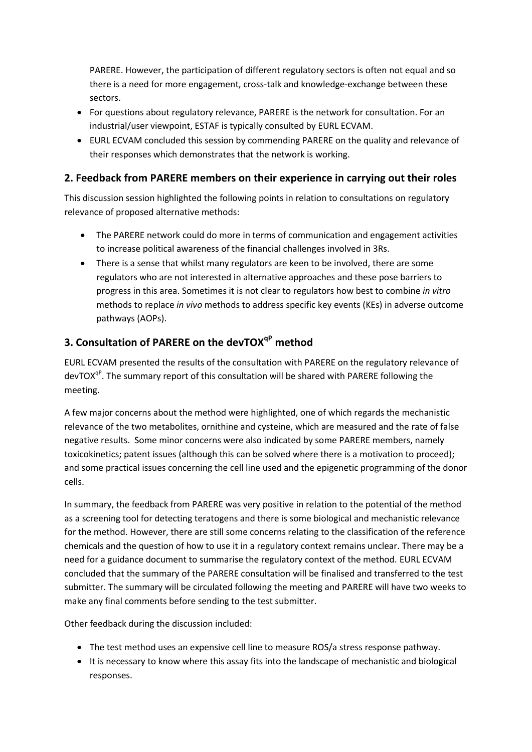PARERE. However, the participation of different regulatory sectors is often not equal and so there is a need for more engagement, cross-talk and knowledge-exchange between these sectors.

- For questions about regulatory relevance, PARERE is the network for consultation. For an industrial/user viewpoint, ESTAF is typically consulted by EURL ECVAM.
- EURL ECVAM concluded this session by commending PARERE on the quality and relevance of their responses which demonstrates that the network is working.

### **2. Feedback from PARERE members on their experience in carrying out their roles**

This discussion session highlighted the following points in relation to consultations on regulatory relevance of proposed alternative methods:

- The PARERE network could do more in terms of communication and engagement activities to increase political awareness of the financial challenges involved in 3Rs.
- There is a sense that whilst many regulators are keen to be involved, there are some regulators who are not interested in alternative approaches and these pose barriers to progress in this area. Sometimes it is not clear to regulators how best to combine *in vitro* methods to replace *in vivo* methods to address specific key events (KEs) in adverse outcome pathways (AOPs).

## **3. Consultation of PARERE on the devTOXqP method**

EURL ECVAM presented the results of the consultation with PARERE on the regulatory relevance of devTOX<sup>qP</sup>. The summary report of this consultation will be shared with PARERE following the meeting.

A few major concerns about the method were highlighted, one of which regards the mechanistic relevance of the two metabolites, ornithine and cysteine, which are measured and the rate of false negative results. Some minor concerns were also indicated by some PARERE members, namely toxicokinetics; patent issues (although this can be solved where there is a motivation to proceed); and some practical issues concerning the cell line used and the epigenetic programming of the donor cells.

In summary, the feedback from PARERE was very positive in relation to the potential of the method as a screening tool for detecting teratogens and there is some biological and mechanistic relevance for the method. However, there are still some concerns relating to the classification of the reference chemicals and the question of how to use it in a regulatory context remains unclear. There may be a need for a guidance document to summarise the regulatory context of the method. EURL ECVAM concluded that the summary of the PARERE consultation will be finalised and transferred to the test submitter. The summary will be circulated following the meeting and PARERE will have two weeks to make any final comments before sending to the test submitter.

Other feedback during the discussion included:

- The test method uses an expensive cell line to measure ROS/a stress response pathway.
- It is necessary to know where this assay fits into the landscape of mechanistic and biological responses.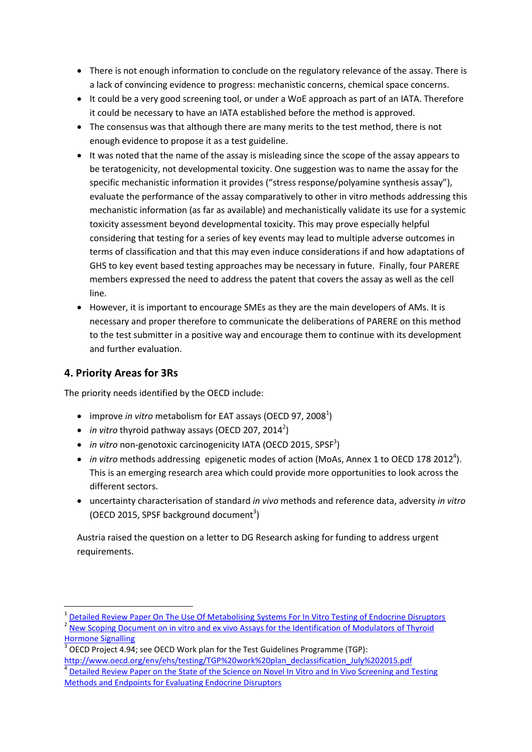- There is not enough information to conclude on the regulatory relevance of the assay. There is a lack of convincing evidence to progress: mechanistic concerns, chemical space concerns.
- It could be a very good screening tool, or under a WoE approach as part of an IATA. Therefore it could be necessary to have an IATA established before the method is approved.
- The consensus was that although there are many merits to the test method, there is not enough evidence to propose it as a test guideline.
- It was noted that the name of the assay is misleading since the scope of the assay appears to be teratogenicity, not developmental toxicity. One suggestion was to name the assay for the specific mechanistic information it provides ("stress response/polyamine synthesis assay"), evaluate the performance of the assay comparatively to other in vitro methods addressing this mechanistic information (as far as available) and mechanistically validate its use for a systemic toxicity assessment beyond developmental toxicity. This may prove especially helpful considering that testing for a series of key events may lead to multiple adverse outcomes in terms of classification and that this may even induce considerations if and how adaptations of GHS to key event based testing approaches may be necessary in future. Finally, four PARERE members expressed the need to address the patent that covers the assay as well as the cell line.
- However, it is important to encourage SMEs as they are the main developers of AMs. It is necessary and proper therefore to communicate the deliberations of PARERE on this method to the test submitter in a positive way and encourage them to continue with its development and further evaluation.

### **4. Priority Areas for 3Rs**

 $\overline{\phantom{a}}$ 

The priority needs identified by the OECD include:

- improve *in vitro* metabolism for EAT assays (OECD 97, 2008<sup>1</sup>)
- $\bullet$  *in vitro* thyroid pathway assays (OECD 207, 2014<sup>2</sup>)
- *in vitro* non-genotoxic carcinogenicity IATA (OECD 2015, SPSF<sup>3</sup>)
- *in vitro* methods addressing epigenetic modes of action (MoAs, Annex 1 to OECD 178 2012<sup>4</sup>). This is an emerging research area which could provide more opportunities to look across the different sectors.
- uncertainty characterisation of standard *in vivo* methods and reference data, adversity *in vitro* (OECD 2015, SPSF background document<sup>3</sup>)

Austria raised the question on a letter to DG Research asking for funding to address urgent requirements.

<sup>&</sup>lt;sup>1</sup> [Detailed Review Paper On The Use Of Metabolising Systems For In Vitro Testing of Endocrine Disruptors](http://www.oecd.org/officialdocuments/displaydocument/?cote=env/jm/mono(2008)24&doclanguage=en) 2 [New Scoping Document on in vitro and ex vivo Assays for the Identification of Modulators of Thyroid](http://www.oecd.org/officialdocuments/displaydocument/?cote=ENV/JM/MONO(2014)23&doclanguage=en)  **[Hormone Signalling](http://www.oecd.org/officialdocuments/displaydocument/?cote=ENV/JM/MONO(2014)23&doclanguage=en)** 

<sup>3</sup> OECD Project 4.94; see OECD Work plan for the Test Guidelines Programme (TGP):

[http://www.oecd.org/env/ehs/testing/TGP%20work%20plan\\_declassification\\_July%202015.pdf](http://www.oecd.org/env/ehs/testing/TGP%20work%20plan_declassification_July%202015.pdf) 4 [Detailed Review Paper on the State of the Science on Novel In Vitro and In Vivo Screening and Testing](http://www.oecd.org/officialdocuments/displaydocument/?cote=env/jm/mono(2012)23&doclanguage=en)  [Methods and Endpoints for Evaluating Endocrine Disruptors](http://www.oecd.org/officialdocuments/displaydocument/?cote=env/jm/mono(2012)23&doclanguage=en)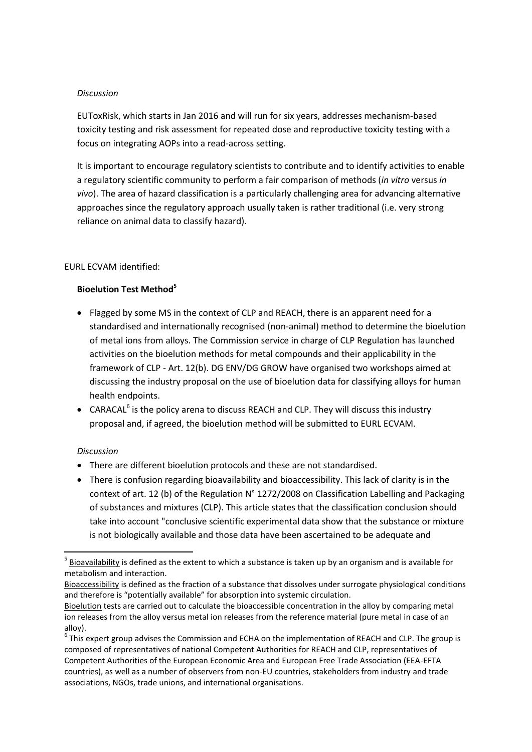#### *Discussion*

EUToxRisk, which starts in Jan 2016 and will run for six years, addresses mechanism-based toxicity testing and risk assessment for repeated dose and reproductive toxicity testing with a focus on integrating AOPs into a read-across setting.

It is important to encourage regulatory scientists to contribute and to identify activities to enable a regulatory scientific community to perform a fair comparison of methods (*in vitro* versus *in vivo*). The area of hazard classification is a particularly challenging area for advancing alternative approaches since the regulatory approach usually taken is rather traditional (i.e. very strong reliance on animal data to classify hazard).

#### EURL ECVAM identified:

#### **Bioelution Test Method<sup>5</sup>**

- Flagged by some MS in the context of CLP and REACH, there is an apparent need for a standardised and internationally recognised (non-animal) method to determine the bioelution of metal ions from alloys. The Commission service in charge of CLP Regulation has launched activities on the bioelution methods for metal compounds and their applicability in the framework of CLP - Art. 12(b). DG ENV/DG GROW have organised two workshops aimed at discussing the industry proposal on the use of bioelution data for classifying alloys for human health endpoints.
- CARACAL<sup>6</sup> is the policy arena to discuss REACH and CLP. They will discuss this industry proposal and, if agreed, the bioelution method will be submitted to EURL ECVAM.

#### *Discussion*

 $\overline{\phantom{a}}$ 

- There are different bioelution protocols and these are not standardised.
- There is confusion regarding bioavailability and bioaccessibility. This lack of clarity is in the context of art. 12 (b) of the Regulation N° 1272/2008 on Classification Labelling and Packaging of substances and mixtures (CLP). This article states that the classification conclusion should take into account "conclusive scientific experimental data show that the substance or mixture is not biologically available and those data have been ascertained to be adequate and

 $<sup>5</sup>$  Bioavailability is defined as the extent to which a substance is taken up by an organism and is available for</sup> metabolism and interaction.

Bioaccessibility is defined as the fraction of a substance that dissolves under surrogate physiological conditions and therefore is "potentially available" for absorption into systemic circulation.

Bioelution tests are carried out to calculate the bioaccessible concentration in the alloy by comparing metal ion releases from the alloy versus metal ion releases from the reference material (pure metal in case of an alloy).

 $^6$  This expert group advises the Commission and ECHA on the implementation of REACH and CLP. The group is composed of representatives of national Competent Authorities for REACH and CLP, representatives of Competent Authorities of the European Economic Area and European Free Trade Association (EEA-EFTA countries), as well as a number of observers from non-EU countries, stakeholders from industry and trade associations, NGOs, trade unions, and international organisations.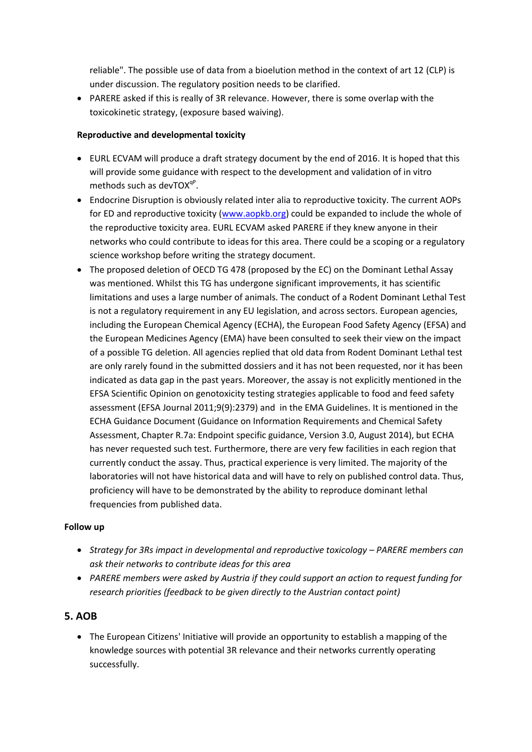reliable". The possible use of data from a bioelution method in the context of art 12 (CLP) is under discussion. The regulatory position needs to be clarified.

• PARERE asked if this is really of 3R relevance. However, there is some overlap with the toxicokinetic strategy, (exposure based waiving).

#### **Reproductive and developmental toxicity**

- EURL ECVAM will produce a draft strategy document by the end of 2016. It is hoped that this will provide some guidance with respect to the development and validation of in vitro methods such as devTOX<sup>qP</sup>.
- Endocrine Disruption is obviously related inter alia to reproductive toxicity. The current AOPs for ED and reproductive toxicity [\(www.aopkb.org\)](http://www.aopkb.org/) could be expanded to include the whole of the reproductive toxicity area. EURL ECVAM asked PARERE if they knew anyone in their networks who could contribute to ideas for this area. There could be a scoping or a regulatory science workshop before writing the strategy document.
- The proposed deletion of OECD TG 478 (proposed by the EC) on the Dominant Lethal Assay was mentioned. Whilst this TG has undergone significant improvements, it has scientific limitations and uses a large number of animals. The conduct of a Rodent Dominant Lethal Test is not a regulatory requirement in any EU legislation, and across sectors. European agencies, including the European Chemical Agency (ECHA), the European Food Safety Agency (EFSA) and the European Medicines Agency (EMA) have been consulted to seek their view on the impact of a possible TG deletion. All agencies replied that old data from Rodent Dominant Lethal test are only rarely found in the submitted dossiers and it has not been requested, nor it has been indicated as data gap in the past years. Moreover, the assay is not explicitly mentioned in the EFSA Scientific Opinion on genotoxicity testing strategies applicable to food and feed safety assessment (EFSA Journal 2011;9(9):2379) and in the EMA Guidelines. It is mentioned in the ECHA Guidance Document (Guidance on Information Requirements and Chemical Safety Assessment, Chapter R.7a: Endpoint specific guidance, Version 3.0, August 2014), but ECHA has never requested such test. Furthermore, there are very few facilities in each region that currently conduct the assay. Thus, practical experience is very limited. The majority of the laboratories will not have historical data and will have to rely on published control data. Thus, proficiency will have to be demonstrated by the ability to reproduce dominant lethal frequencies from published data.

#### **Follow up**

- *Strategy for 3Rs impact in developmental and reproductive toxicology – PARERE members can ask their networks to contribute ideas for this area*
- *PARERE members were asked by Austria if they could support an action to request funding for research priorities (feedback to be given directly to the Austrian contact point)*

### **5. AOB**

 The European Citizens' Initiative will provide an opportunity to establish a mapping of the knowledge sources with potential 3R relevance and their networks currently operating successfully.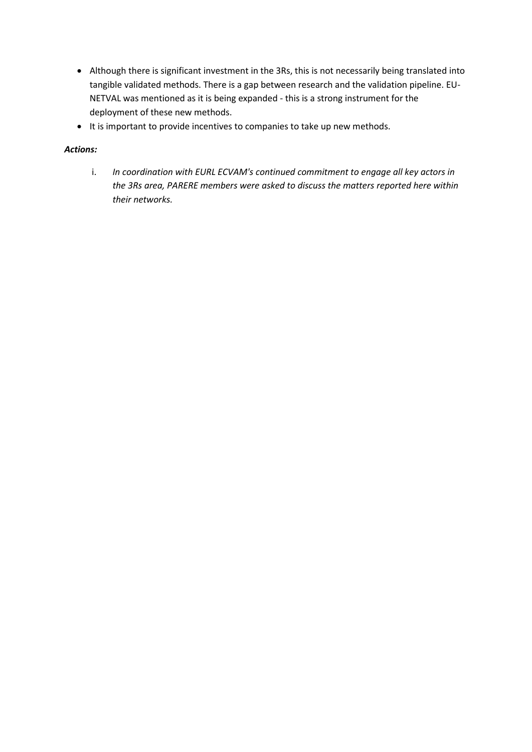- Although there is significant investment in the 3Rs, this is not necessarily being translated into tangible validated methods. There is a gap between research and the validation pipeline. EU-NETVAL was mentioned as it is being expanded - this is a strong instrument for the deployment of these new methods.
- It is important to provide incentives to companies to take up new methods.

#### *Actions:*

i. *In coordination with EURL ECVAM's continued commitment to engage all key actors in the 3Rs area, PARERE members were asked to discuss the matters reported here within their networks.*